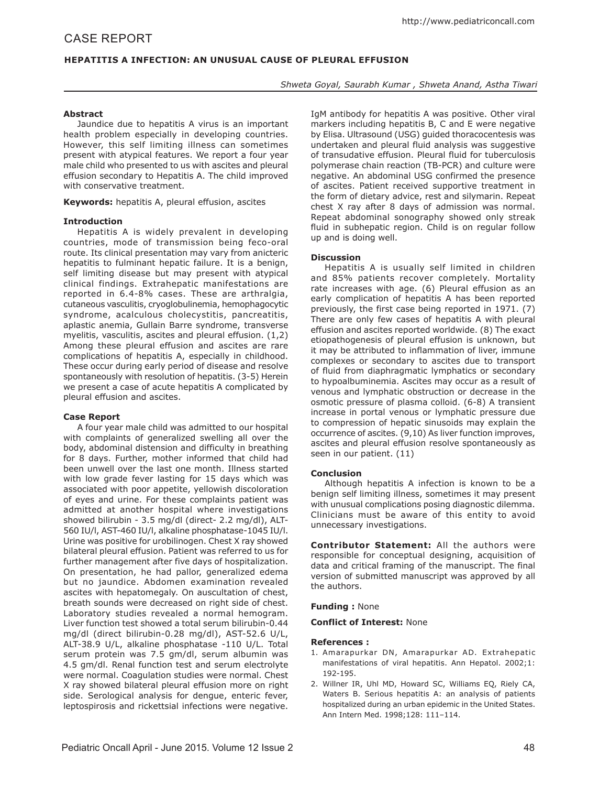# **Hepatitis A Infection: An Unusual Cause of Pleural Effusion**

*Shweta Goyal, Saurabh Kumar , Shweta Anand, Astha Tiwari*

## **Abstract**

Jaundice due to hepatitis A virus is an important health problem especially in developing countries. However, this self limiting illness can sometimes present with atypical features. We report a four year male child who presented to us with ascites and pleural effusion secondary to Hepatitis A. The child improved with conservative treatment.

**Keywords:** hepatitis A, pleural effusion, ascites

## **Introduction**

Hepatitis A is widely prevalent in developing countries, mode of transmission being feco-oral route. Its clinical presentation may vary from anicteric hepatitis to fulminant hepatic failure. It is a benign, self limiting disease but may present with atypical clinical findings. Extrahepatic manifestations are reported in 6.4-8% cases. These are arthralgia, cutaneous vasculitis, cryoglobulinemia, hemophagocytic syndrome, acalculous cholecystitis, pancreatitis, aplastic anemia, Gullain Barre syndrome, transverse myelitis, vasculitis, ascites and pleural effusion. (1,2) Among these pleural effusion and ascites are rare complications of hepatitis A, especially in childhood. These occur during early period of disease and resolve spontaneously with resolution of hepatitis. (3-5) Herein we present a case of acute hepatitis A complicated by pleural effusion and ascites.

## **Case Report**

A four year male child was admitted to our hospital with complaints of generalized swelling all over the body, abdominal distension and difficulty in breathing for 8 days. Further, mother informed that child had been unwell over the last one month. Illness started with low grade fever lasting for 15 days which was associated with poor appetite, yellowish discoloration of eyes and urine. For these complaints patient was admitted at another hospital where investigations showed bilirubin - 3.5 mg/dl (direct- 2.2 mg/dl), ALT-560 IU/l, AST-460 IU/l, alkaline phosphatase-1045 IU/l. Urine was positive for urobilinogen. Chest X ray showed bilateral pleural effusion. Patient was referred to us for further management after five days of hospitalization. On presentation, he had pallor, generalized edema but no jaundice. Abdomen examination revealed ascites with hepatomegaly. On auscultation of chest, breath sounds were decreased on right side of chest. Laboratory studies revealed a normal hemogram. Liver function test showed a total serum bilirubin-0.44 mg/dl (direct bilirubin-0.28 mg/dl), AST-52.6 U/L, ALT-38.9 U/L, alkaline phosphatase -110 U/L. Total serum protein was 7.5 gm/dl, serum albumin was 4.5 gm/dl. Renal function test and serum electrolyte were normal. Coagulation studies were normal. Chest X ray showed bilateral pleural effusion more on right side. Serological analysis for dengue, enteric fever, leptospirosis and rickettsial infections were negative.

IgM antibody for hepatitis A was positive. Other viral markers including hepatitis B, C and E were negative by Elisa. Ultrasound (USG) guided thoracocentesis was undertaken and pleural fluid analysis was suggestive of transudative effusion. Pleural fluid for tuberculosis polymerase chain reaction (TB-PCR) and culture were negative. An abdominal USG confirmed the presence of ascites. Patient received supportive treatment in the form of dietary advice, rest and silymarin. Repeat chest X ray after 8 days of admission was normal. Repeat abdominal sonography showed only streak fluid in subhepatic region. Child is on regular follow up and is doing well.

## **Discussion**

Hepatitis A is usually self limited in children and 85% patients recover completely. Mortality rate increases with age. (6) Pleural effusion as an early complication of hepatitis A has been reported previously, the first case being reported in 1971. (7) There are only few cases of hepatitis A with pleural effusion and ascites reported worldwide. (8) The exact etiopathogenesis of pleural effusion is unknown, but it may be attributed to inflammation of liver, immune complexes or secondary to ascites due to transport of fluid from diaphragmatic lymphatics or secondary to hypoalbuminemia. Ascites may occur as a result of venous and lymphatic obstruction or decrease in the osmotic pressure of plasma colloid. (6-8) A transient increase in portal venous or lymphatic pressure due to compression of hepatic sinusoids may explain the occurrence of ascites. (9,10) As liver function improves, ascites and pleural effusion resolve spontaneously as seen in our patient. (11)

## **Conclusion**

Although hepatitis A infection is known to be a benign self limiting illness, sometimes it may present with unusual complications posing diagnostic dilemma. Clinicians must be aware of this entity to avoid unnecessary investigations.

**Contributor Statement:** All the authors were responsible for conceptual designing, acquisition of data and critical framing of the manuscript. The final version of submitted manuscript was approved by all the authors.

#### **Funding :** None

#### **Conflict of Interest:** None

#### **References :**

- 1. Amarapurkar DN, Amarapurkar AD. Extrahepatic manifestations of viral hepatitis. Ann Hepatol. 2002;1: 192-195.
- 2. Willner IR, Uhl MD, Howard SC, Williams EQ, Riely CA, Waters B. Serious hepatitis A: an analysis of patients hospitalized during an urban epidemic in the United States. Ann Intern Med. 1998;128: 111–114.